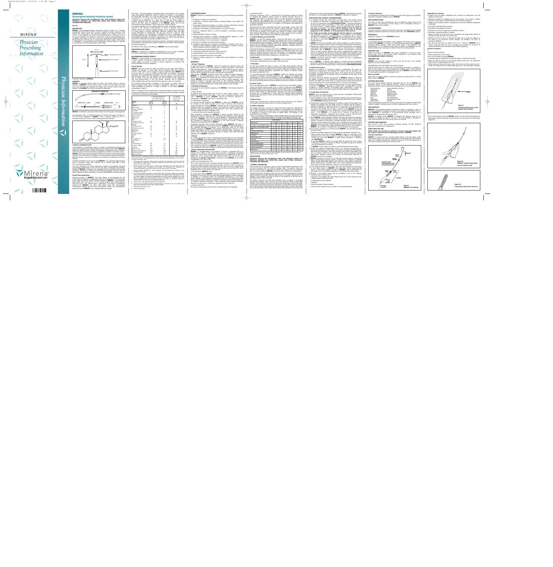

**figure 1. MIRENA<sup>®</sup> and Inserter** 

|                                                                                                                                                                                                                                                                                                                                                            | $\frac{1}{2}$ providedly doed to be. The reported in mother programs rated word local<br>than or equal to 0.2 per 100 women and the cumulative 5-year pregnancy                                                                                                                |                                        |                                                                                    |                                                                 |
|------------------------------------------------------------------------------------------------------------------------------------------------------------------------------------------------------------------------------------------------------------------------------------------------------------------------------------------------------------|--------------------------------------------------------------------------------------------------------------------------------------------------------------------------------------------------------------------------------------------------------------------------------|----------------------------------------|------------------------------------------------------------------------------------|-----------------------------------------------------------------|
| Schematic drawing of MIRENA®                                                                                                                                                                                                                                                                                                                               | rate was approximately 0.7 per 100 women. However, due to limitations                                                                                                                                                                                                          |                                        |                                                                                    |                                                                 |
| <b>INSERTER</b>                                                                                                                                                                                                                                                                                                                                            | of the available data a precise estimate of the pregnancy rate is not possible.                                                                                                                                                                                                |                                        |                                                                                    |                                                                 |
| <b>MIRENA®</b> is packaged sterile within an inserter. The inserter, which is used for<br>insertion of <b>MIRENA</b> ® into the uterine cavity, consists of a symmetric two-sided<br>body and slider that are integrated with flange, lock, pre-bent insertion tube and<br>plunger. Once <b>MIRENA<sup>®</sup></b> is in place, the inserter is discarded. | The following table provides estimates of the percent of women likely to<br>become pregnant while using a particular contraceptive method for one year.<br>These estimates are based on a variety of studies. In this table, MIRENA <sup>®</sup><br>is identified as "LNg 20". |                                        |                                                                                    |                                                                 |
| <b>DIAGRAM OF INSERTER</b>                                                                                                                                                                                                                                                                                                                                 | Table 1: Percentage of women experiencing an unintended pregnancy during the first year<br>of typical use and first year of perfect use of contraception and the percentage continuing<br>use at the end of the first year. United States                                      |                                        |                                                                                    |                                                                 |
|                                                                                                                                                                                                                                                                                                                                                            |                                                                                                                                                                                                                                                                                |                                        | % of Women Experiencing<br>an Accidental Pregnancy<br>within the First Year of Use | % of Women<br><b>Continuing Use</b><br>at One Year <sup>3</sup> |
| INSERTION TUBE<br>FLANGE<br>PLUNGER<br>SLIDER (LOCK INSIDE)<br>HANDLE                                                                                                                                                                                                                                                                                      | <b>Method</b><br>(1)                                                                                                                                                                                                                                                           | <b>Typical</b><br>Use <sup>1</sup> (2) | Perfect<br>Use <sup>2</sup> (3)                                                    | (4)                                                             |
|                                                                                                                                                                                                                                                                                                                                                            | Chance <sup>4</sup>                                                                                                                                                                                                                                                            | 85                                     | 85                                                                                 |                                                                 |
| $\circ$                                                                                                                                                                                                                                                                                                                                                    | Spermicides <sup>5</sup>                                                                                                                                                                                                                                                       | 26                                     | 6                                                                                  | 40                                                              |
|                                                                                                                                                                                                                                                                                                                                                            | Periodic abstinence                                                                                                                                                                                                                                                            | 25                                     |                                                                                    | 63                                                              |
|                                                                                                                                                                                                                                                                                                                                                            | Calendar                                                                                                                                                                                                                                                                       |                                        |                                                                                    |                                                                 |
| <b>MIRENA</b> <sup>®</sup> is intended to provide an initial release rate of 20 $\mu$ g/day of levonorgestrel.                                                                                                                                                                                                                                             | Ovulation method                                                                                                                                                                                                                                                               |                                        |                                                                                    |                                                                 |
|                                                                                                                                                                                                                                                                                                                                                            | Sympto-thermal <sup>6</sup>                                                                                                                                                                                                                                                    |                                        |                                                                                    |                                                                 |
| Levonorgestrel USP, (-)-13-Ethyl-17-hydroxy-18,19-dinor-17a-pregn-4-en-20-yn-3-<br>one, the active ingredient in MIRENA®, has a molecular weight of 312.4, a                                                                                                                                                                                               | Post-ovulation                                                                                                                                                                                                                                                                 |                                        |                                                                                    |                                                                 |
| molecular formula of $C_{21}H_{28}O_2$ , and the following structural formula:                                                                                                                                                                                                                                                                             | Withdrawal<br>Can <sup>7</sup>                                                                                                                                                                                                                                                 | 19                                     |                                                                                    |                                                                 |
| OH                                                                                                                                                                                                                                                                                                                                                         | Parous women                                                                                                                                                                                                                                                                   | 40                                     | 26                                                                                 | 42                                                              |
|                                                                                                                                                                                                                                                                                                                                                            | Nulliparous women<br>Sponge                                                                                                                                                                                                                                                    | 20                                     | $\mathbf{q}$                                                                       | 56                                                              |
| $\overline{C}$ and $C \equiv C H$                                                                                                                                                                                                                                                                                                                          | Parous women                                                                                                                                                                                                                                                                   | 40                                     | 20                                                                                 | 42                                                              |
|                                                                                                                                                                                                                                                                                                                                                            | Nulliparous women                                                                                                                                                                                                                                                              | 20                                     | 9                                                                                  | 56                                                              |
| н                                                                                                                                                                                                                                                                                                                                                          | Diaphragm <sup>7</sup><br>Condom®                                                                                                                                                                                                                                              | 20                                     | ĥ                                                                                  | 56                                                              |
|                                                                                                                                                                                                                                                                                                                                                            | Female (Reality)                                                                                                                                                                                                                                                               | 21                                     |                                                                                    | 56                                                              |
|                                                                                                                                                                                                                                                                                                                                                            | Male                                                                                                                                                                                                                                                                           | 14                                     | 3                                                                                  | 61                                                              |
|                                                                                                                                                                                                                                                                                                                                                            | Pill                                                                                                                                                                                                                                                                           | 5                                      |                                                                                    | 71                                                              |
|                                                                                                                                                                                                                                                                                                                                                            | progestin only                                                                                                                                                                                                                                                                 |                                        | 0.5                                                                                |                                                                 |
|                                                                                                                                                                                                                                                                                                                                                            | combined                                                                                                                                                                                                                                                                       |                                        | 0.1                                                                                |                                                                 |
|                                                                                                                                                                                                                                                                                                                                                            | IUD:                                                                                                                                                                                                                                                                           |                                        |                                                                                    |                                                                 |
| <b>CLINICAL PHARMACOLOGY</b>                                                                                                                                                                                                                                                                                                                               | Progesterone T:                                                                                                                                                                                                                                                                | 2.0                                    | 1.5                                                                                | 81                                                              |
|                                                                                                                                                                                                                                                                                                                                                            | Copper T 380A                                                                                                                                                                                                                                                                  | 0.8                                    | 0.6                                                                                | 78                                                              |
| Levonorgestrel is a progestogen used in a variety of contraceptive products. Low<br>doses of levonorgestrel can be administered into the uterine cavity with the MIRENA®                                                                                                                                                                                   | <b>LNg 20</b>                                                                                                                                                                                                                                                                  | 0.1                                    | 0.1                                                                                | 81                                                              |
| intrauterine delivery system. Initially, levonorgestrel is released at a rate of approxi-                                                                                                                                                                                                                                                                  | Depo Provera                                                                                                                                                                                                                                                                   | 0.3                                    | 0.3                                                                                | 70                                                              |
| mately 20 µg/day. This rate decreases progressively to half that value after 5 years.                                                                                                                                                                                                                                                                      | Norplant and Norplant-2                                                                                                                                                                                                                                                        | 0.05                                   | 0.05                                                                               | 88                                                              |
| MIRENA <sup>®</sup> has mainly local progestogenic effects in the uterine cavity. Morphological                                                                                                                                                                                                                                                            | Female sterilization                                                                                                                                                                                                                                                           | 0.5                                    | 0.5                                                                                | 100                                                             |
| changes of the endomotrium are observed, including stremal pseudodocidualization                                                                                                                                                                                                                                                                           | Male sterilization                                                                                                                                                                                                                                                             | 0.15                                   | 0.10                                                                               | 100                                                             |

- 
- 
- 
- 
- 
- 
- 

- 
- 
- 
- 
- 
- 
- 

- 
- 

- 
- 

| <b>AGE GROUP</b>             |           |           |           |           |           |           |
|------------------------------|-----------|-----------|-----------|-----------|-----------|-----------|
| <b>METHODS</b>               | $15 - 19$ | $20 - 24$ | $25 - 29$ | $30 - 34$ | $35 - 39$ | $40 - 44$ |
| No Birth Control Method/Term | 4.7       | 5.4       | 4.8       | 6.3       | 11.7      | 20.6      |
| No Birth Control Method/AB   | 2.1       | 2.0       | 1.6       | 1.9       | 2.8       | 5.3       |
| <b>IUD</b>                   | 0.2       | 0.3       | 0.2       | 0.1       | 0.3       | 0.6       |
| Periodic Abstinence          | 1.4       | 1.3       | 0.7       | 1.0       | 1.0       | 1.9       |
| Withdrawal                   | 0.9       | 1.7       | 0.9       | 1.3       | 0.8       | 1.5       |
| Condom                       | 0.6       | 1.2       | 0.6       | 0.9       | 0.5       | 1.0       |
| Diaphragm/Cap                | 0.6       | 1.1       | 0.6       | 0.9       | 1.6       | 3.1       |
| Sponge                       | 0.8       | 1.5       | 0.8       | 1.1       | 2.2       | 4.1       |
| Spermicides                  | 1.6       | 1.9       | 1.4       | 1.9       | 1.5       | 2.7       |
| <b>Oral Contraceptives</b>   | 0.8       | 1.3       | 1.1       | 1.8       | 1.0       | 1.9       |
| Implants/Injectables         | 0.2       | 0.6       | 0.5       | 0.8       | 0.5       | 0.6       |
| <b>Tubal Sterilization</b>   | 1.3       | 1.2       | 1.1       | 1.1       | 1.2       | 1.3       |
| Vasectomv                    | 0.1       | 0.1       | 0.1       | 0.1       | 0.1       | 0.2       |

**Table 2: Annual Number of Birth-Related or Method-Related Deaths Associated with Control of Fertility per 100,000 Nonsterile Women, by Fertility Control Method According to Age**

**Harlap S. et al.,** *Preventing Pregnancy, protecting health: a new look at birth control choices in the US. The Alan Guttmacher Institute 1991: 1-129*

- 
- 
- 
- 
- 
- 
- 

- 
- 
- 
- 
- 
- 
- 
- 
- 
- 
- 
- 
- 
- 
- 
- 

**threads**

**thread cleft** **handle**

- 
- 
- 
- 
- 
- 
- 
- 
- 
- 

- 
- 
- 
- 
- 
- 

**mark slider**

**insertion tube with plunger inside**

**flange**

**scale**

**Mirena®**

**arms**



- 
-